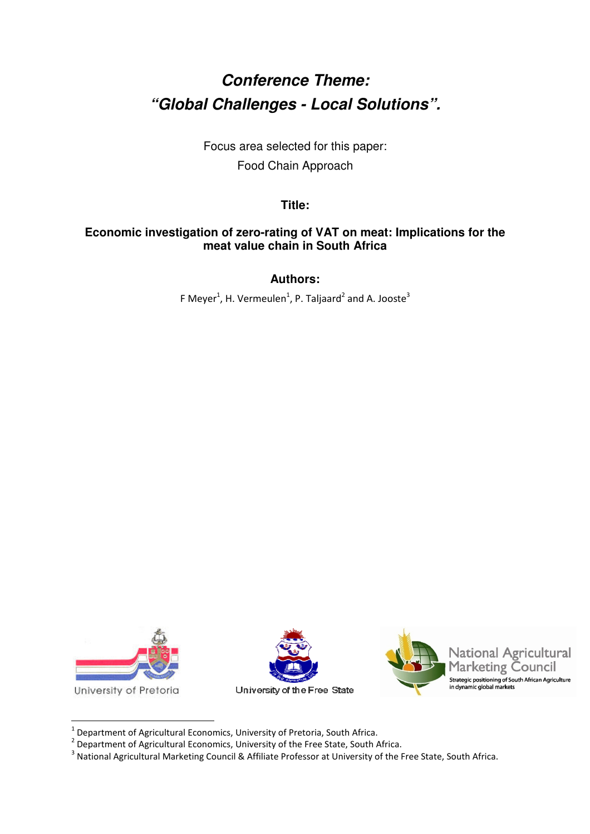# **Conference Theme: "Global Challenges - Local Solutions".**

Focus area selected for this paper: Food Chain Approach

**Title:** 

## **Economic investigation of zero-rating of VAT on meat: Implications for the meat value chain in South Africa**

**Authors:** 

F Meyer<sup>1</sup>, H. Vermeulen<sup>1</sup>, P. Taljaard<sup>2</sup> and A. Jooste<sup>3</sup>



 $\overline{a}$ 





 $<sup>1</sup>$  Department of Agricultural Economics, University of Pretoria, South Africa.</sup>

 $^2$  Department of Agricultural Economics, University of the Free State, South Africa.

<sup>&</sup>lt;sup>3</sup> National Agricultural Marketing Council & Affiliate Professor at University of the Free State, South Africa.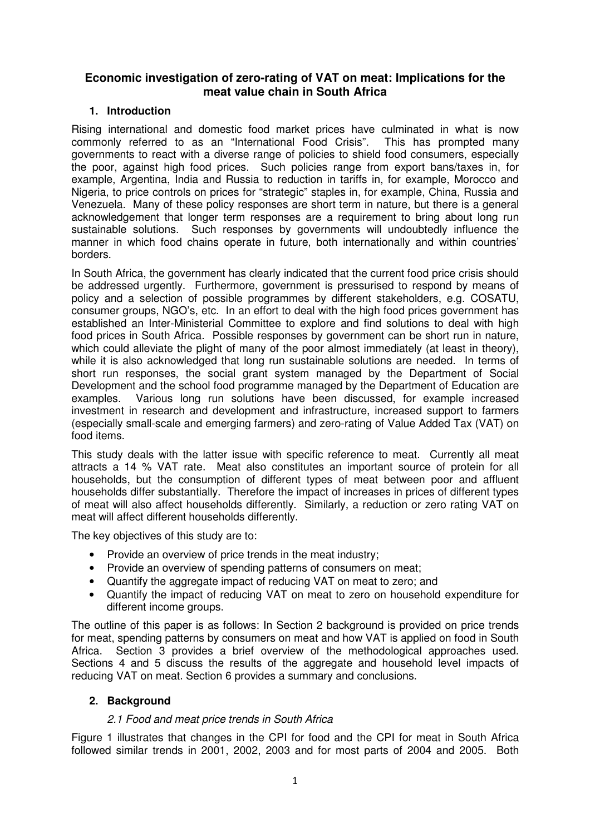## **Economic investigation of zero-rating of VAT on meat: Implications for the meat value chain in South Africa**

### **1. Introduction**

Rising international and domestic food market prices have culminated in what is now commonly referred to as an "International Food Crisis". This has prompted many governments to react with a diverse range of policies to shield food consumers, especially the poor, against high food prices. Such policies range from export bans/taxes in, for example, Argentina, India and Russia to reduction in tariffs in, for example, Morocco and Nigeria, to price controls on prices for "strategic" staples in, for example, China, Russia and Venezuela. Many of these policy responses are short term in nature, but there is a general acknowledgement that longer term responses are a requirement to bring about long run sustainable solutions. Such responses by governments will undoubtedly influence the manner in which food chains operate in future, both internationally and within countries' borders.

In South Africa, the government has clearly indicated that the current food price crisis should be addressed urgently. Furthermore, government is pressurised to respond by means of policy and a selection of possible programmes by different stakeholders, e.g. COSATU, consumer groups, NGO's, etc. In an effort to deal with the high food prices government has established an Inter-Ministerial Committee to explore and find solutions to deal with high food prices in South Africa. Possible responses by government can be short run in nature, which could alleviate the plight of many of the poor almost immediately (at least in theory), while it is also acknowledged that long run sustainable solutions are needed. In terms of short run responses, the social grant system managed by the Department of Social Development and the school food programme managed by the Department of Education are examples. Various long run solutions have been discussed, for example increased investment in research and development and infrastructure, increased support to farmers (especially small-scale and emerging farmers) and zero-rating of Value Added Tax (VAT) on food items.

This study deals with the latter issue with specific reference to meat. Currently all meat attracts a 14 % VAT rate. Meat also constitutes an important source of protein for all households, but the consumption of different types of meat between poor and affluent households differ substantially. Therefore the impact of increases in prices of different types of meat will also affect households differently. Similarly, a reduction or zero rating VAT on meat will affect different households differently.

The key objectives of this study are to:

- Provide an overview of price trends in the meat industry;
- Provide an overview of spending patterns of consumers on meat;
- Quantify the aggregate impact of reducing VAT on meat to zero; and
- Quantify the impact of reducing VAT on meat to zero on household expenditure for different income groups.

The outline of this paper is as follows: In Section 2 background is provided on price trends for meat, spending patterns by consumers on meat and how VAT is applied on food in South Africa. Section 3 provides a brief overview of the methodological approaches used. Sections 4 and 5 discuss the results of the aggregate and household level impacts of reducing VAT on meat. Section 6 provides a summary and conclusions.

#### **2. Background**

#### 2.1 Food and meat price trends in South Africa

Figure 1 illustrates that changes in the CPI for food and the CPI for meat in South Africa followed similar trends in 2001, 2002, 2003 and for most parts of 2004 and 2005. Both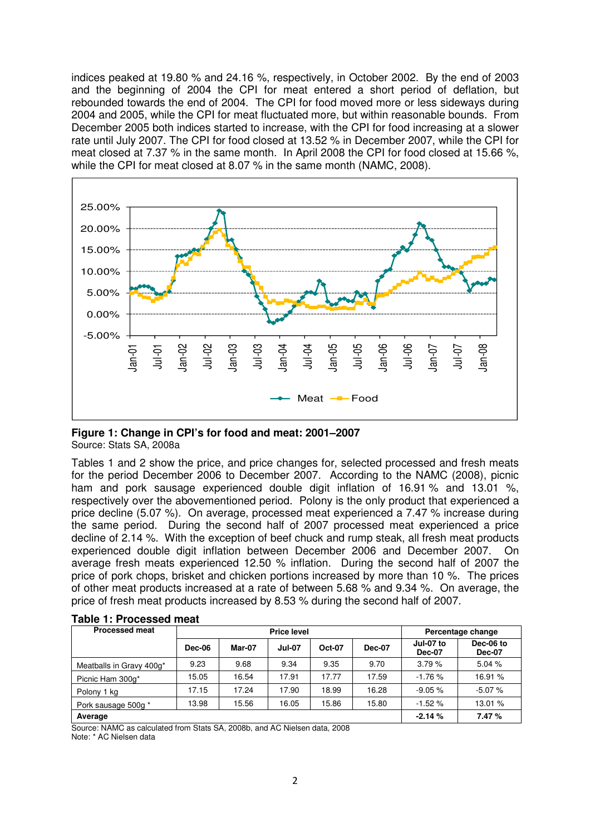indices peaked at 19.80 % and 24.16 %, respectively, in October 2002. By the end of 2003 and the beginning of 2004 the CPI for meat entered a short period of deflation, but rebounded towards the end of 2004. The CPI for food moved more or less sideways during 2004 and 2005, while the CPI for meat fluctuated more, but within reasonable bounds. From December 2005 both indices started to increase, with the CPI for food increasing at a slower rate until July 2007. The CPI for food closed at 13.52 % in December 2007, while the CPI for meat closed at 7.37 % in the same month. In April 2008 the CPI for food closed at 15.66 %, while the CPI for meat closed at 8.07 % in the same month (NAMC, 2008).



**Figure 1: Change in CPI's for food and meat: 2001–2007**  Source: Stats SA, 2008a

Tables 1 and 2 show the price, and price changes for, selected processed and fresh meats for the period December 2006 to December 2007. According to the NAMC (2008), picnic ham and pork sausage experienced double digit inflation of 16.91 % and 13.01 %, respectively over the abovementioned period. Polony is the only product that experienced a price decline (5.07 %). On average, processed meat experienced a 7.47 % increase during the same period. During the second half of 2007 processed meat experienced a price decline of 2.14 %. With the exception of beef chuck and rump steak, all fresh meat products experienced double digit inflation between December 2006 and December 2007. On average fresh meats experienced 12.50 % inflation. During the second half of 2007 the price of pork chops, brisket and chicken portions increased by more than 10 %. The prices of other meat products increased at a rate of between 5.68 % and 9.34 %. On average, the price of fresh meat products increased by 8.53 % during the second half of 2007.

| <b>Processed meat</b>    |          |        | <b>Price level</b> |               | Percentage change |                            |                            |  |
|--------------------------|----------|--------|--------------------|---------------|-------------------|----------------------------|----------------------------|--|
|                          | Dec-06   | Mar-07 | <b>Jul-07</b>      | <b>Oct-07</b> | <b>Dec-07</b>     | Jul-07 to<br><b>Dec-07</b> | Dec-06 to<br><b>Dec-07</b> |  |
| Meatballs in Gravy 400g* | 9.23     | 9.68   | 9.34               | 9.35          | 9.70              | 3.79%                      | 5.04%                      |  |
| Picnic Ham 300g*         | 15.05    | 16.54  | 17.91              | 17.77         | 17.59             | $-1.76%$                   | 16.91 %                    |  |
| Polony 1 kg              | 17.15    | 17.24  | 17.90              | 18.99         | 16.28             | $-9.05%$                   | $-5.07%$                   |  |
| Pork sausage 500g *      | 13.98    | 15.56  | 16.05              | 15.86         | 15.80             | $-1.52%$                   | 13.01 %                    |  |
| Average                  | $-2.14%$ | 7.47%  |                    |               |                   |                            |                            |  |

|  |  | <b>Table 1: Processed meat</b> |  |
|--|--|--------------------------------|--|
|--|--|--------------------------------|--|

Source: NAMC as calculated from Stats SA, 2008b, and AC Nielsen data, 2008 Note: \* AC Nielsen data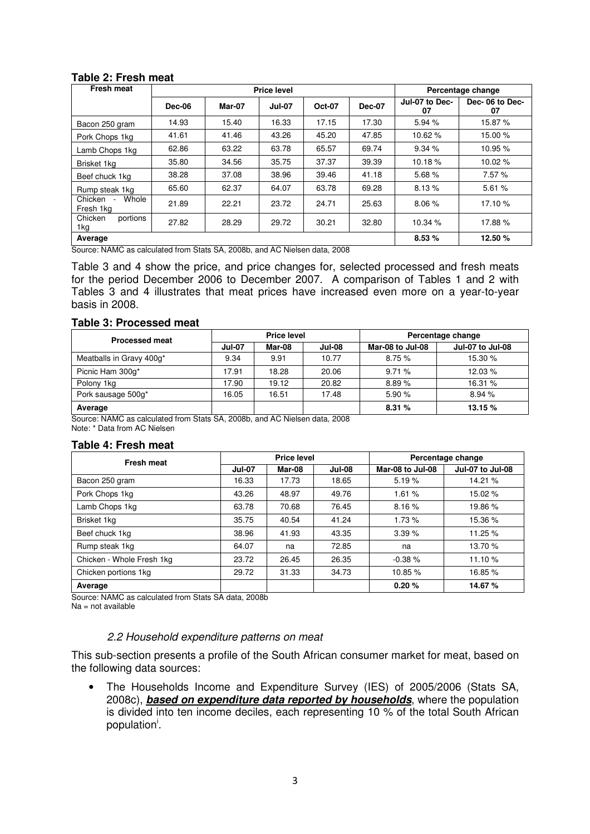#### **Table 2: Fresh meat**

| <b>Fresh meat</b>             |               |        | <b>Price level</b> |               |               |                      | Percentage change    |
|-------------------------------|---------------|--------|--------------------|---------------|---------------|----------------------|----------------------|
|                               | <b>Dec-06</b> | Mar-07 | <b>Jul-07</b>      | <b>Oct-07</b> | <b>Dec-07</b> | Jul-07 to Dec-<br>07 | Dec-06 to Dec-<br>07 |
| Bacon 250 gram                | 14.93         | 15.40  | 16.33              | 17.15         | 17.30         | 5.94%                | 15.87 %              |
| Pork Chops 1kg                | 41.61         | 41.46  | 43.26              | 45.20         | 47.85         | 10.62%               | 15.00 %              |
| Lamb Chops 1kg                | 62.86         | 63.22  | 63.78              | 65.57         | 69.74         | 9.34%                | 10.95 %              |
| Brisket 1kg                   | 35.80         | 34.56  | 35.75              | 37.37         | 39.39         | 10.18%               | 10.02%               |
| Beef chuck 1kg                | 38.28         | 37.08  | 38.96              | 39.46         | 41.18         | 5.68%                | 7.57 %               |
| Rump steak 1kg                | 65.60         | 62.37  | 64.07              | 63.78         | 69.28         | 8.13%                | 5.61%                |
| Whole<br>Chicken<br>Fresh 1kg | 21.89         | 22.21  | 23.72              | 24.71         | 25.63         | 8.06%                | 17.10 %              |
| portions<br>Chicken<br>1kg    | 27.82         | 28.29  | 29.72              | 30.21         | 32.80         | 10.34%               | 17.88%               |
| Average                       |               |        |                    |               |               | 8.53%                | 12.50 %              |

Source: NAMC as calculated from Stats SA, 2008b, and AC Nielsen data, 2008

Table 3 and 4 show the price, and price changes for, selected processed and fresh meats for the period December 2006 to December 2007. A comparison of Tables 1 and 2 with Tables 3 and 4 illustrates that meat prices have increased even more on a year-to-year basis in 2008.

#### **Table 3: Processed meat**

| <b>Processed meat</b>    |               | <b>Price level</b> |               | Percentage change |                         |  |
|--------------------------|---------------|--------------------|---------------|-------------------|-------------------------|--|
|                          | <b>Jul-07</b> | Mar-08             | <b>Jul-08</b> | Mar-08 to Jul-08  | <b>Jul-07 to Jul-08</b> |  |
| Meatballs in Gravy 400g* | 9.34          | 9.91               | 10.77         | 8.75%             | 15.30%                  |  |
| Picnic Ham 300g*         | 17.91         | 18.28              | 20.06         | 9.71%             | 12.03%                  |  |
| Polony 1kg               | 17.90         | 19.12              | 20.82         | 8.89%             | 16.31 %                 |  |
| Pork sausage 500g*       | 16.05         | 16.51              | 17.48         | 5.90%             | 8.94%                   |  |
| Average                  |               |                    |               | 8.31%             | 13.15 %                 |  |

Source: NAMC as calculated from Stats SA, 2008b, and AC Nielsen data, 2008 Note: \* Data from AC Nielsen

#### **Table 4: Fresh meat**

| <b>Fresh meat</b>         |               | <b>Price level</b> |               | Percentage change |                  |  |
|---------------------------|---------------|--------------------|---------------|-------------------|------------------|--|
|                           | <b>Jul-07</b> | Mar-08             | <b>Jul-08</b> | Mar-08 to Jul-08  | Jul-07 to Jul-08 |  |
| Bacon 250 gram            | 16.33         | 17.73              | 18.65         | 5.19%             | 14.21 %          |  |
| Pork Chops 1kg            | 43.26         | 48.97              | 49.76         | 1.61%             | 15.02 %          |  |
| Lamb Chops 1kg            | 63.78         | 70.68              | 76.45         | 8.16%             | 19.86 %          |  |
| Brisket 1kg               | 35.75         | 40.54              | 41.24         | 1.73%             | 15.36 %          |  |
| Beef chuck 1kg            | 38.96         | 41.93              | 43.35         | 3.39%             | 11.25 %          |  |
| Rump steak 1kg            | 64.07         | na                 | 72.85         | na                | 13.70 %          |  |
| Chicken - Whole Fresh 1kg | 23.72         | 26.45              | 26.35         | $-0.38%$          | 11.10%           |  |
| Chicken portions 1kg      | 29.72         | 31.33              | 34.73         | 10.85 %           | 16.85 %          |  |
| Average                   |               |                    |               | 0.20%             | 14.67 %          |  |

Source: NAMC as calculated from Stats SA data, 2008b Na = not available

#### 2.2 Household expenditure patterns on meat

This sub-section presents a profile of the South African consumer market for meat, based on the following data sources:

• The Households Income and Expenditure Survey (IES) of 2005/2006 (Stats SA, 2008c), **based on expenditure data reported by households**, where the population is divided into ten income deciles, each representing 10 % of the total South African population<sup>i</sup>.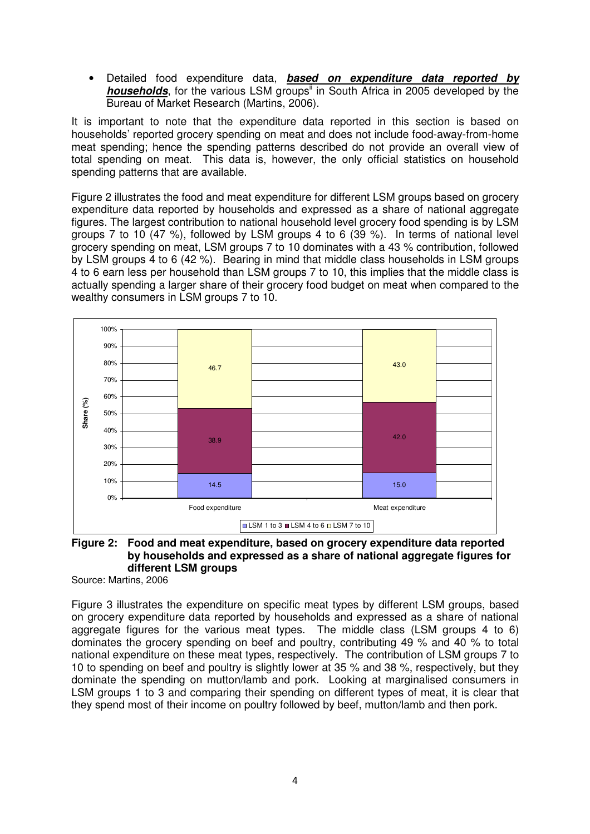• Detailed food expenditure data, **based on expenditure data reported by households**, for the various LSM groups<sup>ii</sup> in South Africa in 2005 developed by the Bureau of Market Research (Martins, 2006).

It is important to note that the expenditure data reported in this section is based on households' reported grocery spending on meat and does not include food-away-from-home meat spending; hence the spending patterns described do not provide an overall view of total spending on meat. This data is, however, the only official statistics on household spending patterns that are available.

Figure 2 illustrates the food and meat expenditure for different LSM groups based on grocery expenditure data reported by households and expressed as a share of national aggregate figures. The largest contribution to national household level grocery food spending is by LSM groups 7 to 10 (47 %), followed by LSM groups 4 to 6 (39 %). In terms of national level grocery spending on meat, LSM groups 7 to 10 dominates with a 43 % contribution, followed by LSM groups 4 to 6 (42 %). Bearing in mind that middle class households in LSM groups 4 to 6 earn less per household than LSM groups 7 to 10, this implies that the middle class is actually spending a larger share of their grocery food budget on meat when compared to the wealthy consumers in LSM groups 7 to 10.



#### **Figure 2: Food and meat expenditure, based on grocery expenditure data reported by households and expressed as a share of national aggregate figures for different LSM groups**

Source: Martins, 2006

Figure 3 illustrates the expenditure on specific meat types by different LSM groups, based on grocery expenditure data reported by households and expressed as a share of national aggregate figures for the various meat types. The middle class (LSM groups 4 to 6) dominates the grocery spending on beef and poultry, contributing 49 % and 40 % to total national expenditure on these meat types, respectively. The contribution of LSM groups 7 to 10 to spending on beef and poultry is slightly lower at 35 % and 38 %, respectively, but they dominate the spending on mutton/lamb and pork. Looking at marginalised consumers in LSM groups 1 to 3 and comparing their spending on different types of meat, it is clear that they spend most of their income on poultry followed by beef, mutton/lamb and then pork.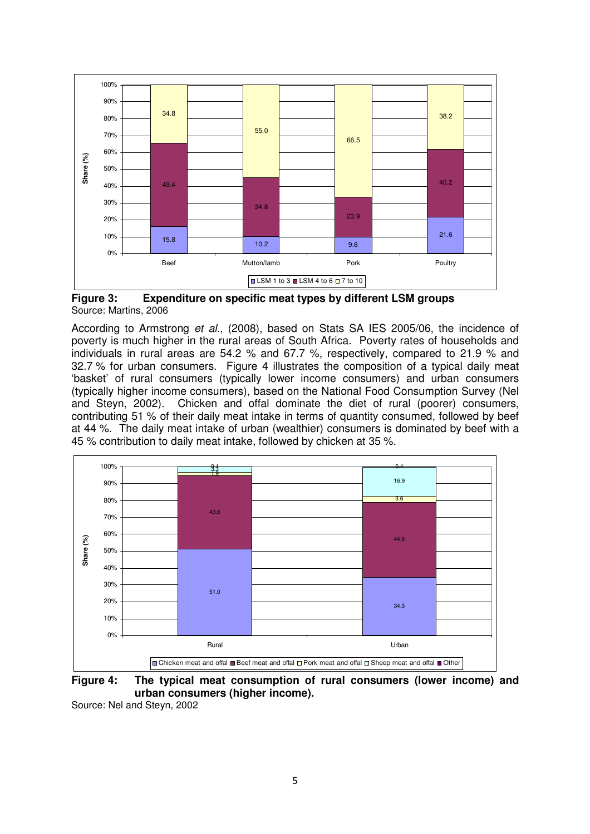

**Figure 3: Expenditure on specific meat types by different LSM groups**  Source: Martins, 2006

According to Armstrong et al., (2008), based on Stats SA IES 2005/06, the incidence of poverty is much higher in the rural areas of South Africa. Poverty rates of households and individuals in rural areas are 54.2 % and 67.7 %, respectively, compared to 21.9 % and 32.7 % for urban consumers. Figure 4 illustrates the composition of a typical daily meat 'basket' of rural consumers (typically lower income consumers) and urban consumers (typically higher income consumers), based on the National Food Consumption Survey (Nel and Steyn, 2002). Chicken and offal dominate the diet of rural (poorer) consumers, contributing 51 % of their daily meat intake in terms of quantity consumed, followed by beef at 44 %. The daily meat intake of urban (wealthier) consumers is dominated by beef with a 45 % contribution to daily meat intake, followed by chicken at 35 %.



**Figure 4: The typical meat consumption of rural consumers (lower income) and urban consumers (higher income).** 

Source: Nel and Steyn, 2002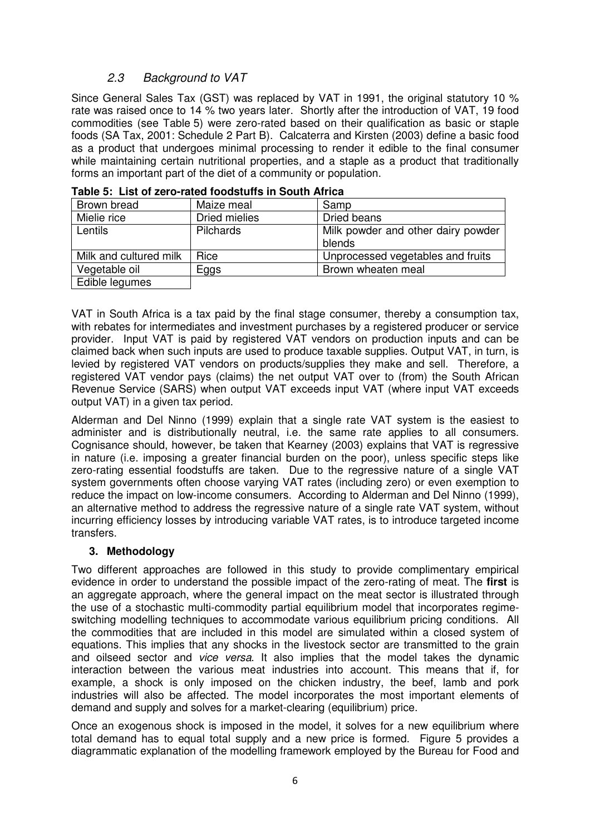## 2.3 Background to VAT

Since General Sales Tax (GST) was replaced by VAT in 1991, the original statutory 10 % rate was raised once to 14 % two years later. Shortly after the introduction of VAT, 19 food commodities (see Table 5) were zero-rated based on their qualification as basic or staple foods (SA Tax, 2001: Schedule 2 Part B). Calcaterra and Kirsten (2003) define a basic food as a product that undergoes minimal processing to render it edible to the final consumer while maintaining certain nutritional properties, and a staple as a product that traditionally forms an important part of the diet of a community or population.

| Brown bread            | Maize meal       | Samp                               |
|------------------------|------------------|------------------------------------|
| Mielie rice            | Dried mielies    | Dried beans                        |
| Lentils                | <b>Pilchards</b> | Milk powder and other dairy powder |
|                        |                  | blends                             |
| Milk and cultured milk | Rice             | Unprocessed vegetables and fruits  |
| Vegetable oil          | Eggs             | Brown wheaten meal                 |
| Edible legumes         |                  |                                    |

|  | Table 5: List of zero-rated foodstuffs in South Africa |  |  |
|--|--------------------------------------------------------|--|--|
|--|--------------------------------------------------------|--|--|

VAT in South Africa is a tax paid by the final stage consumer, thereby a consumption tax, with rebates for intermediates and investment purchases by a registered producer or service provider. Input VAT is paid by registered VAT vendors on production inputs and can be claimed back when such inputs are used to produce taxable supplies. Output VAT, in turn, is levied by registered VAT vendors on products/supplies they make and sell. Therefore, a registered VAT vendor pays (claims) the net output VAT over to (from) the South African Revenue Service (SARS) when output VAT exceeds input VAT (where input VAT exceeds output VAT) in a given tax period.

Alderman and Del Ninno (1999) explain that a single rate VAT system is the easiest to administer and is distributionally neutral, i.e. the same rate applies to all consumers. Cognisance should, however, be taken that Kearney (2003) explains that VAT is regressive in nature (i.e. imposing a greater financial burden on the poor), unless specific steps like zero-rating essential foodstuffs are taken. Due to the regressive nature of a single VAT system governments often choose varying VAT rates (including zero) or even exemption to reduce the impact on low-income consumers. According to Alderman and Del Ninno (1999), an alternative method to address the regressive nature of a single rate VAT system, without incurring efficiency losses by introducing variable VAT rates, is to introduce targeted income transfers.

## **3. Methodology**

Two different approaches are followed in this study to provide complimentary empirical evidence in order to understand the possible impact of the zero-rating of meat. The **first** is an aggregate approach, where the general impact on the meat sector is illustrated through the use of a stochastic multi-commodity partial equilibrium model that incorporates regimeswitching modelling techniques to accommodate various equilibrium pricing conditions. All the commodities that are included in this model are simulated within a closed system of equations. This implies that any shocks in the livestock sector are transmitted to the grain and oilseed sector and vice versa. It also implies that the model takes the dynamic interaction between the various meat industries into account. This means that if, for example, a shock is only imposed on the chicken industry, the beef, lamb and pork industries will also be affected. The model incorporates the most important elements of demand and supply and solves for a market-clearing (equilibrium) price.

Once an exogenous shock is imposed in the model, it solves for a new equilibrium where total demand has to equal total supply and a new price is formed. Figure 5 provides a diagrammatic explanation of the modelling framework employed by the Bureau for Food and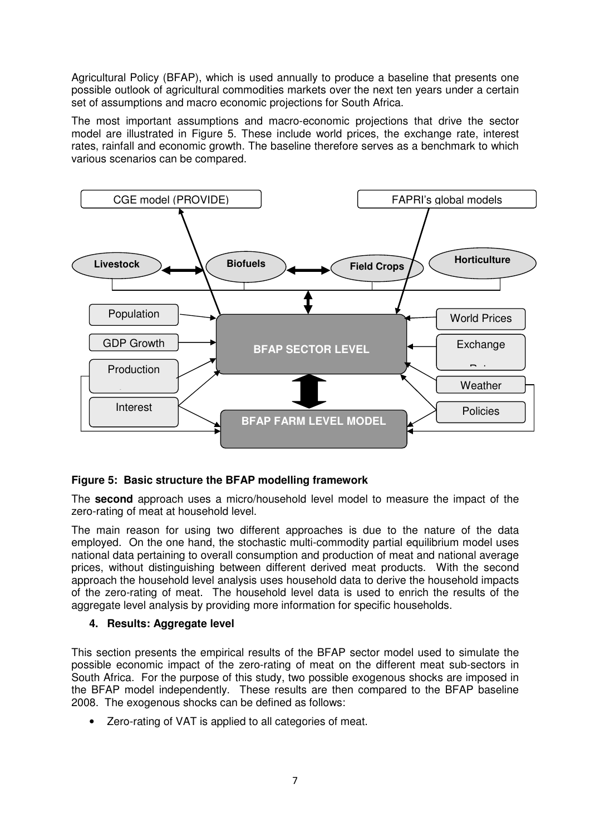Agricultural Policy (BFAP), which is used annually to produce a baseline that presents one possible outlook of agricultural commodities markets over the next ten years under a certain set of assumptions and macro economic projections for South Africa.

The most important assumptions and macro-economic projections that drive the sector model are illustrated in Figure 5. These include world prices, the exchange rate, interest rates, rainfall and economic growth. The baseline therefore serves as a benchmark to which various scenarios can be compared.



## **Figure 5: Basic structure the BFAP modelling framework**

The **second** approach uses a micro/household level model to measure the impact of the zero-rating of meat at household level.

The main reason for using two different approaches is due to the nature of the data employed. On the one hand, the stochastic multi-commodity partial equilibrium model uses national data pertaining to overall consumption and production of meat and national average prices, without distinguishing between different derived meat products. With the second approach the household level analysis uses household data to derive the household impacts of the zero-rating of meat. The household level data is used to enrich the results of the aggregate level analysis by providing more information for specific households.

#### **4. Results: Aggregate level**

This section presents the empirical results of the BFAP sector model used to simulate the possible economic impact of the zero-rating of meat on the different meat sub-sectors in South Africa. For the purpose of this study, two possible exogenous shocks are imposed in the BFAP model independently. These results are then compared to the BFAP baseline 2008. The exogenous shocks can be defined as follows:

• Zero-rating of VAT is applied to all categories of meat.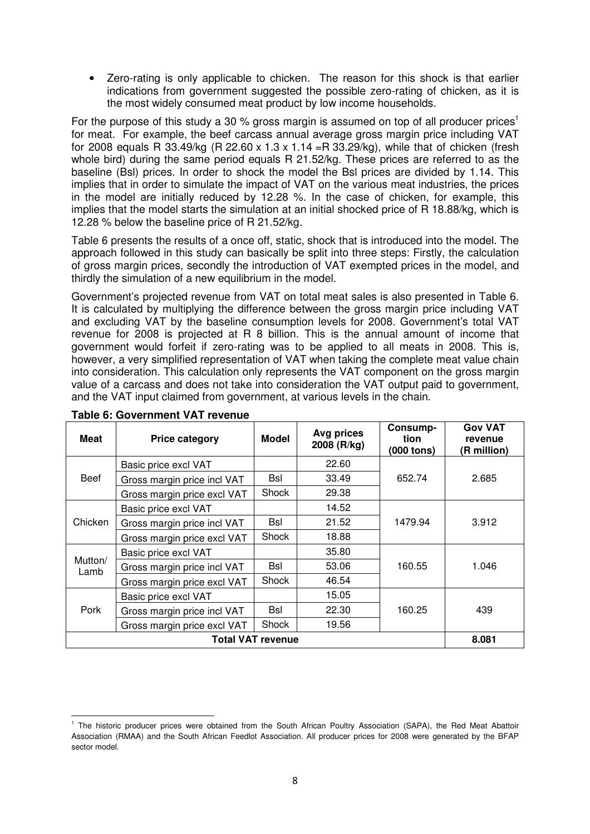• Zero-rating is only applicable to chicken. The reason for this shock is that earlier indications from government suggested the possible zero-rating of chicken, as it is the most widely consumed meat product by low income households.

For the purpose of this study a 30 % gross margin is assumed on top of all producer prices<sup>1</sup> for meat. For example, the beef carcass annual average gross margin price including VAT for 2008 equals R 33.49/kg (R 22.60 x 1.3 x 1.14 = R 33.29/kg), while that of chicken (fresh whole bird) during the same period equals R 21.52/kg. These prices are referred to as the baseline (Bsl) prices. In order to shock the model the Bsl prices are divided by 1.14. This implies that in order to simulate the impact of VAT on the various meat industries, the prices in the model are initially reduced by 12.28 %. In the case of chicken, for example, this implies that the model starts the simulation at an initial shocked price of R 18.88/kg, which is 12.28 % below the baseline price of R 21.52/kg.

Table 6 presents the results of a once off, static, shock that is introduced into the model. The approach followed in this study can basically be split into three steps: Firstly, the calculation of gross margin prices, secondly the introduction of VAT exempted prices in the model, and thirdly the simulation of a new equilibrium in the model.

Government's projected revenue from VAT on total meat sales is also presented in Table 6. It is calculated by multiplying the difference between the gross margin price including VAT and excluding VAT by the baseline consumption levels for 2008. Government's total VAT revenue for 2008 is projected at R 8 billion. This is the annual amount of income that government would forfeit if zero-rating was to be applied to all meats in 2008. This is, however, a very simplified representation of VAT when taking the complete meat value chain into consideration. This calculation only represents the VAT component on the gross margin value of a carcass and does not take into consideration the VAT output paid to government, and the VAT input claimed from government, at various levels in the chain.

| <b>Meat</b>     | <b>Price category</b>       | <b>Model</b>             | Avg prices<br>2008 (R/kg) | Consump-<br>tion<br>(000 tons) | <b>Gov VAT</b><br>revenue<br>(R million) |  |
|-----------------|-----------------------------|--------------------------|---------------------------|--------------------------------|------------------------------------------|--|
|                 | Basic price excl VAT        |                          | 22.60                     |                                |                                          |  |
| <b>Beef</b>     | Gross margin price incl VAT | Bsl                      | 33.49                     | 652.74                         | 2.685                                    |  |
|                 | Gross margin price excl VAT | Shock                    | 29.38                     |                                |                                          |  |
|                 | Basic price excl VAT        |                          | 14.52                     |                                |                                          |  |
| Chicken         | Gross margin price incl VAT | <b>Bsl</b>               | 21.52                     | 1479.94                        | 3.912                                    |  |
|                 | Gross margin price excl VAT | Shock                    | 18.88                     |                                |                                          |  |
|                 | Basic price excl VAT        |                          | 35.80                     |                                | 1.046                                    |  |
| Mutton/<br>Lamb | Gross margin price incl VAT | Bsl                      | 53.06                     | 160.55                         |                                          |  |
|                 | Gross margin price excl VAT | Shock                    | 46.54                     |                                |                                          |  |
|                 | Basic price excl VAT        |                          | 15.05                     |                                |                                          |  |
| Pork            | Gross margin price incl VAT | <b>Bsl</b>               | 22.30                     | 160.25                         | 439                                      |  |
|                 | Gross margin price excl VAT | Shock<br>19.56           |                           |                                |                                          |  |
|                 |                             | <b>Total VAT revenue</b> |                           |                                | 8.081                                    |  |

### **Table 6: Government VAT revenue**

l <sup>1</sup> The historic producer prices were obtained from the South African Poultry Association (SAPA), the Red Meat Abattoir Association (RMAA) and the South African Feedlot Association. All producer prices for 2008 were generated by the BFAP sector model.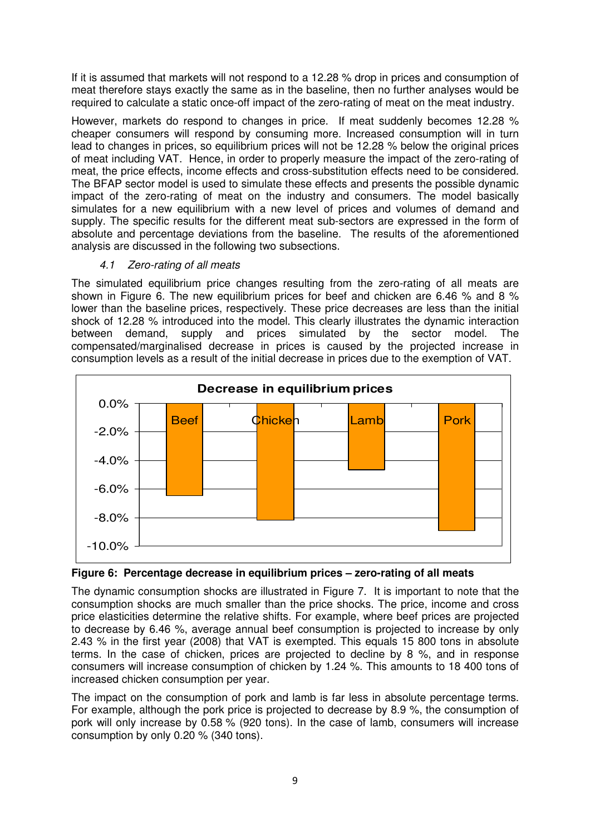If it is assumed that markets will not respond to a 12.28 % drop in prices and consumption of meat therefore stays exactly the same as in the baseline, then no further analyses would be required to calculate a static once-off impact of the zero-rating of meat on the meat industry.

However, markets do respond to changes in price. If meat suddenly becomes 12.28 % cheaper consumers will respond by consuming more. Increased consumption will in turn lead to changes in prices, so equilibrium prices will not be 12.28 % below the original prices of meat including VAT. Hence, in order to properly measure the impact of the zero-rating of meat, the price effects, income effects and cross-substitution effects need to be considered. The BFAP sector model is used to simulate these effects and presents the possible dynamic impact of the zero-rating of meat on the industry and consumers. The model basically simulates for a new equilibrium with a new level of prices and volumes of demand and supply. The specific results for the different meat sub-sectors are expressed in the form of absolute and percentage deviations from the baseline. The results of the aforementioned analysis are discussed in the following two subsections.

## 4.1 Zero-rating of all meats

The simulated equilibrium price changes resulting from the zero-rating of all meats are shown in Figure 6. The new equilibrium prices for beef and chicken are 6.46 % and 8 % lower than the baseline prices, respectively. These price decreases are less than the initial shock of 12.28 % introduced into the model. This clearly illustrates the dynamic interaction between demand, supply and prices simulated by the sector model. The compensated/marginalised decrease in prices is caused by the projected increase in consumption levels as a result of the initial decrease in prices due to the exemption of VAT.



**Figure 6: Percentage decrease in equilibrium prices – zero-rating of all meats** 

The dynamic consumption shocks are illustrated in Figure 7. It is important to note that the consumption shocks are much smaller than the price shocks. The price, income and cross price elasticities determine the relative shifts. For example, where beef prices are projected to decrease by 6.46 %, average annual beef consumption is projected to increase by only 2.43 % in the first year (2008) that VAT is exempted. This equals 15 800 tons in absolute terms. In the case of chicken, prices are projected to decline by 8 %, and in response consumers will increase consumption of chicken by 1.24 %. This amounts to 18 400 tons of increased chicken consumption per year.

The impact on the consumption of pork and lamb is far less in absolute percentage terms. For example, although the pork price is projected to decrease by 8.9 %, the consumption of pork will only increase by 0.58 % (920 tons). In the case of lamb, consumers will increase consumption by only 0.20 % (340 tons).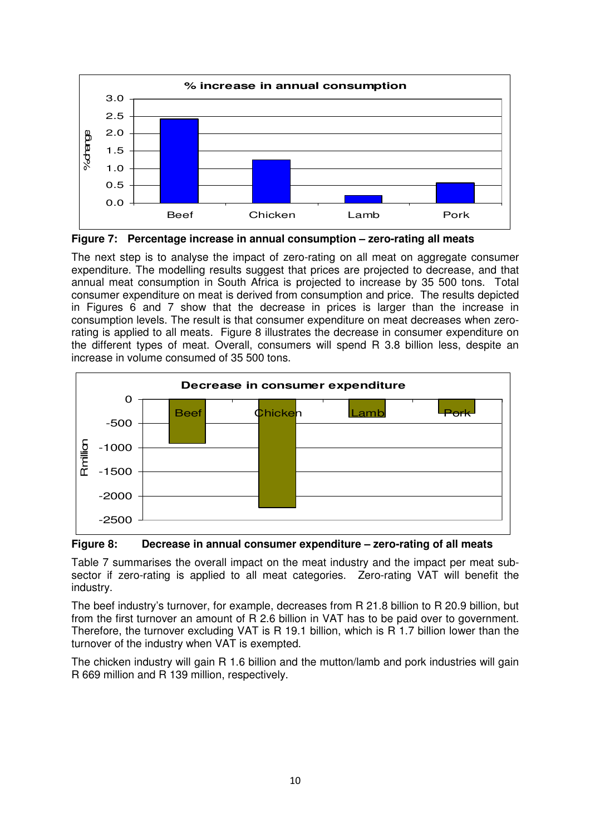

**Figure 7: Percentage increase in annual consumption – zero-rating all meats** 

The next step is to analyse the impact of zero-rating on all meat on aggregate consumer expenditure. The modelling results suggest that prices are projected to decrease, and that annual meat consumption in South Africa is projected to increase by 35 500 tons. Total consumer expenditure on meat is derived from consumption and price. The results depicted in Figures 6 and 7 show that the decrease in prices is larger than the increase in consumption levels. The result is that consumer expenditure on meat decreases when zerorating is applied to all meats. Figure 8 illustrates the decrease in consumer expenditure on the different types of meat. Overall, consumers will spend R 3.8 billion less, despite an increase in volume consumed of 35 500 tons.



**Figure 8: Decrease in annual consumer expenditure – zero-rating of all meats** 

Table 7 summarises the overall impact on the meat industry and the impact per meat subsector if zero-rating is applied to all meat categories. Zero-rating VAT will benefit the industry.

The beef industry's turnover, for example, decreases from R 21.8 billion to R 20.9 billion, but from the first turnover an amount of R 2.6 billion in VAT has to be paid over to government. Therefore, the turnover excluding VAT is R 19.1 billion, which is R 1.7 billion lower than the turnover of the industry when VAT is exempted.

The chicken industry will gain R 1.6 billion and the mutton/lamb and pork industries will gain R 669 million and R 139 million, respectively.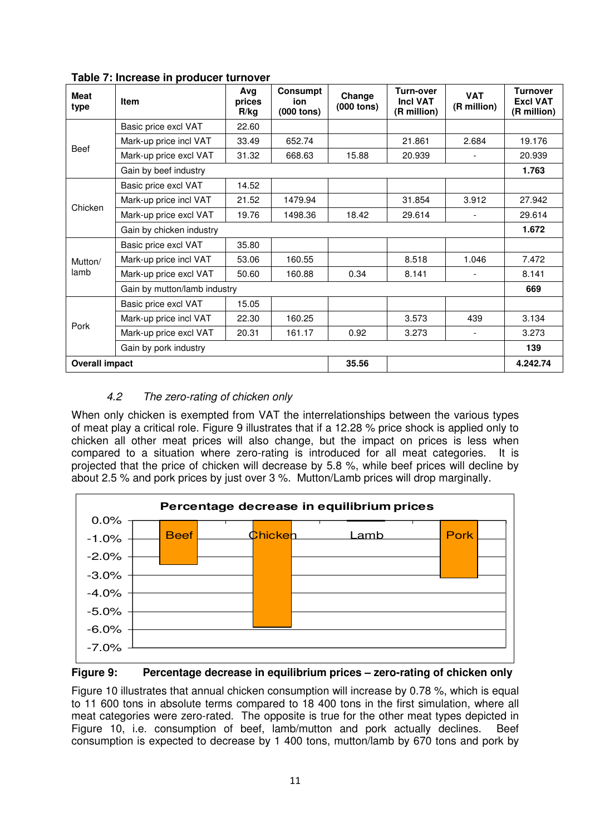| <b>Meat</b><br>type   | <b>Item</b>                  | Avg<br>prices<br>R/kg | <b>Consumpt</b><br>ion<br>$(000$ tons) | Change<br>(000 tons) | Turn-over<br><b>Incl VAT</b><br>(R million) | <b>VAT</b><br>(R million) | <b>Turnover</b><br><b>Excl VAT</b><br>(R million) |
|-----------------------|------------------------------|-----------------------|----------------------------------------|----------------------|---------------------------------------------|---------------------------|---------------------------------------------------|
|                       | Basic price excl VAT         | 22.60                 |                                        |                      |                                             |                           |                                                   |
| Beef                  | Mark-up price incl VAT       | 33.49                 | 652.74                                 |                      | 21.861                                      | 2.684                     | 19.176                                            |
|                       | Mark-up price excl VAT       | 31.32                 | 668.63                                 | 15.88                | 20.939                                      | $\blacksquare$            | 20.939                                            |
|                       | Gain by beef industry        |                       |                                        |                      |                                             |                           | 1.763                                             |
|                       | Basic price excl VAT         | 14.52                 |                                        |                      |                                             |                           |                                                   |
| Chicken               | Mark-up price incl VAT       | 21.52                 | 1479.94                                |                      | 31.854                                      | 3.912                     | 27.942                                            |
|                       | Mark-up price excl VAT       | 19.76                 | 1498.36                                | 18.42                | 29.614                                      |                           | 29.614                                            |
|                       | Gain by chicken industry     | 1.672                 |                                        |                      |                                             |                           |                                                   |
|                       | Basic price excl VAT         | 35.80                 |                                        |                      |                                             |                           |                                                   |
| Mutton/               | Mark-up price incl VAT       | 53.06                 | 160.55                                 |                      | 8.518                                       | 1.046                     | 7.472                                             |
| lamb                  | Mark-up price excl VAT       | 50.60                 | 160.88                                 | 0.34                 | 8.141                                       |                           | 8.141                                             |
|                       | Gain by mutton/lamb industry |                       |                                        |                      |                                             |                           | 669                                               |
|                       | Basic price excl VAT         | 15.05                 |                                        |                      |                                             |                           |                                                   |
| Pork                  | Mark-up price incl VAT       | 22.30                 | 160.25                                 |                      | 3.573                                       | 439                       | 3.134                                             |
|                       | Mark-up price excl VAT       | 20.31                 | 161.17                                 | 0.92                 | 3.273                                       | $\overline{\phantom{a}}$  | 3.273                                             |
|                       | Gain by pork industry        |                       |                                        |                      |                                             |                           | 139                                               |
| <b>Overall impact</b> |                              |                       |                                        | 35.56                |                                             |                           | 4.242.74                                          |

**Table 7: Increase in producer turnover** 

## 4.2 The zero-rating of chicken only

When only chicken is exempted from VAT the interrelationships between the various types of meat play a critical role. Figure 9 illustrates that if a 12.28 % price shock is applied only to chicken all other meat prices will also change, but the impact on prices is less when compared to a situation where zero-rating is introduced for all meat categories. It is projected that the price of chicken will decrease by 5.8 %, while beef prices will decline by about 2.5 % and pork prices by just over 3 %. Mutton/Lamb prices will drop marginally.





Figure 10 illustrates that annual chicken consumption will increase by 0.78 %, which is equal to 11 600 tons in absolute terms compared to 18 400 tons in the first simulation, where all meat categories were zero-rated. The opposite is true for the other meat types depicted in Figure 10, i.e. consumption of beef, lamb/mutton and pork actually declines. Beef consumption is expected to decrease by 1 400 tons, mutton/lamb by 670 tons and pork by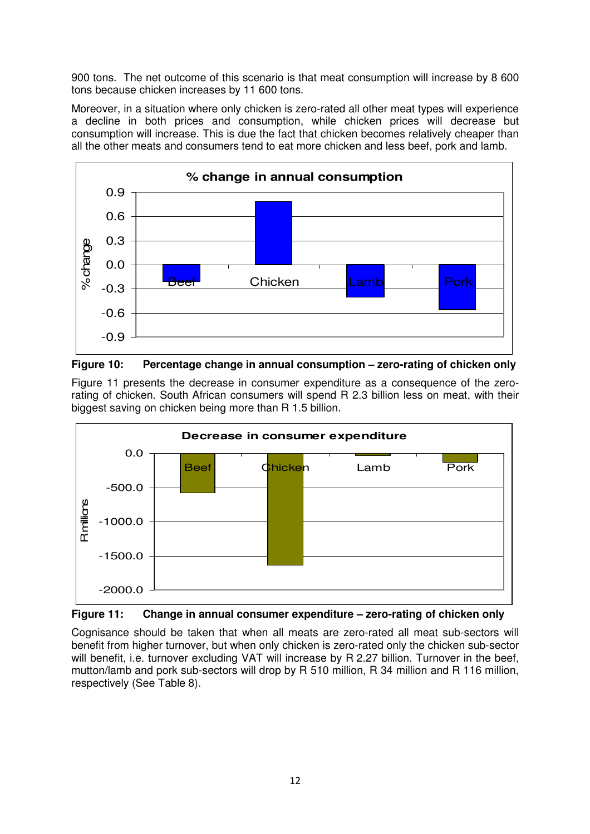900 tons. The net outcome of this scenario is that meat consumption will increase by 8 600 tons because chicken increases by 11 600 tons.

Moreover, in a situation where only chicken is zero-rated all other meat types will experience a decline in both prices and consumption, while chicken prices will decrease but consumption will increase. This is due the fact that chicken becomes relatively cheaper than all the other meats and consumers tend to eat more chicken and less beef, pork and lamb.





Figure 11 presents the decrease in consumer expenditure as a consequence of the zerorating of chicken. South African consumers will spend R 2.3 billion less on meat, with their biggest saving on chicken being more than R 1.5 billion.





Cognisance should be taken that when all meats are zero-rated all meat sub-sectors will benefit from higher turnover, but when only chicken is zero-rated only the chicken sub-sector will benefit, i.e. turnover excluding VAT will increase by R 2.27 billion. Turnover in the beef, mutton/lamb and pork sub-sectors will drop by R 510 million, R 34 million and R 116 million, respectively (See Table 8).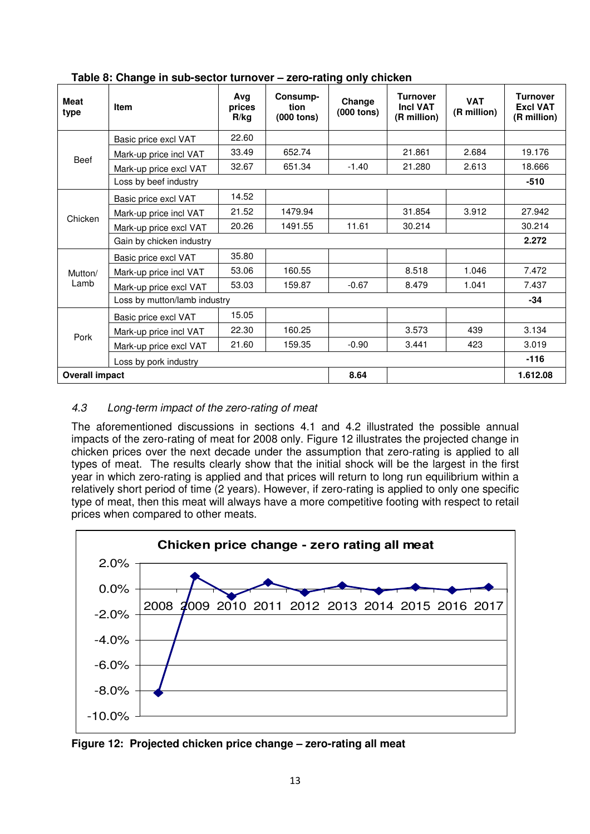| <b>Meat</b><br>type      | <b>Item</b>                  | Avg<br>prices<br>R/kg                                                                  | Consump-<br>tion<br>$(000$ tons) | Change<br>$(000$ tons) | <b>Turnover</b><br><b>Incl VAT</b><br>(R million) | <b>VAT</b><br>(R million) | <b>Turnover</b><br><b>Excl VAT</b><br>(R million) |
|--------------------------|------------------------------|----------------------------------------------------------------------------------------|----------------------------------|------------------------|---------------------------------------------------|---------------------------|---------------------------------------------------|
|                          | Basic price excl VAT         | 22.60                                                                                  |                                  |                        |                                                   |                           |                                                   |
| <b>Beef</b>              | Mark-up price incl VAT       | 33.49                                                                                  | 652.74                           |                        | 21.861                                            | 2.684                     | 19.176                                            |
|                          | Mark-up price excl VAT       | 32.67                                                                                  | 651.34                           | $-1.40$                | 21.280                                            | 2.613                     | 18.666                                            |
|                          | Loss by beef industry        |                                                                                        |                                  |                        |                                                   |                           | $-510$                                            |
|                          | Basic price excl VAT         | 14.52                                                                                  |                                  |                        |                                                   |                           |                                                   |
| Chicken                  | Mark-up price incl VAT       | 21.52                                                                                  | 1479.94                          |                        | 31.854                                            | 3.912                     | 27.942                                            |
|                          | Mark-up price excl VAT       | 20.26                                                                                  | 1491.55                          | 11.61                  | 30.214                                            |                           | 30.214                                            |
| Gain by chicken industry |                              |                                                                                        |                                  |                        |                                                   |                           | 2.272                                             |
|                          | Basic price excl VAT         | 35.80                                                                                  |                                  |                        |                                                   |                           |                                                   |
| Mutton/                  | Mark-up price incl VAT       | 53.06                                                                                  | 160.55                           |                        | 8.518                                             | 1.046                     | 7.472                                             |
| Lamb                     | Mark-up price excl VAT       | 53.03                                                                                  | 159.87                           | $-0.67$                | 8.479                                             | 1.041                     | 7.437                                             |
|                          | Loss by mutton/lamb industry | 15.05<br>22.30<br>160.25<br>3.573<br>439<br>21.60<br>159.35<br>$-0.90$<br>3.441<br>423 |                                  |                        | $-34$                                             |                           |                                                   |
|                          | Basic price excl VAT         |                                                                                        |                                  |                        |                                                   |                           |                                                   |
|                          | Mark-up price incl VAT       |                                                                                        |                                  |                        |                                                   |                           | 3.134                                             |
| Pork                     | Mark-up price excl VAT       |                                                                                        |                                  |                        |                                                   |                           | 3.019                                             |
|                          | Loss by pork industry        |                                                                                        |                                  |                        |                                                   |                           | $-116$                                            |
| <b>Overall impact</b>    |                              |                                                                                        |                                  | 8.64                   |                                                   |                           | 1.612.08                                          |

**Table 8: Change in sub-sector turnover – zero-rating only chicken** 

## 4.3 Long-term impact of the zero-rating of meat

The aforementioned discussions in sections 4.1 and 4.2 illustrated the possible annual impacts of the zero-rating of meat for 2008 only. Figure 12 illustrates the projected change in chicken prices over the next decade under the assumption that zero-rating is applied to all types of meat. The results clearly show that the initial shock will be the largest in the first year in which zero-rating is applied and that prices will return to long run equilibrium within a relatively short period of time (2 years). However, if zero-rating is applied to only one specific type of meat, then this meat will always have a more competitive footing with respect to retail prices when compared to other meats.



**Figure 12: Projected chicken price change – zero-rating all meat**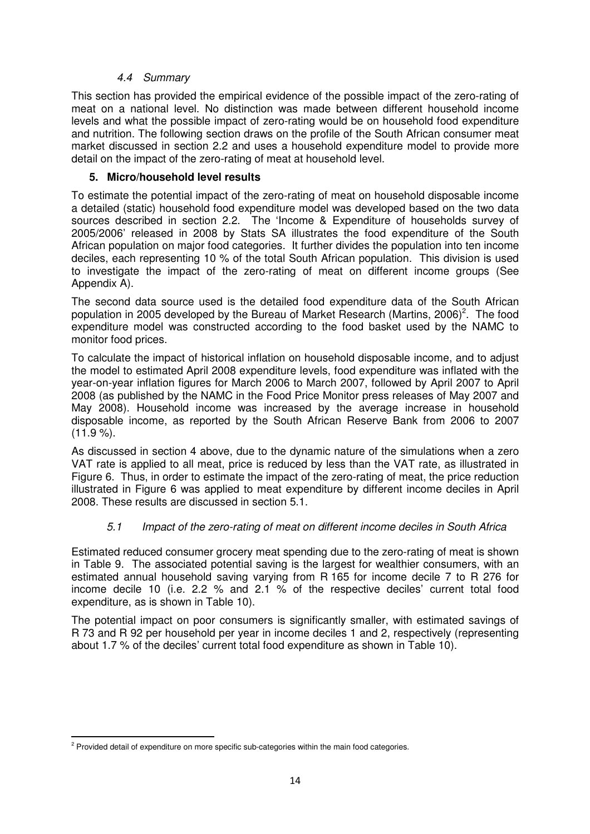### 4.4 Summary

This section has provided the empirical evidence of the possible impact of the zero-rating of meat on a national level. No distinction was made between different household income levels and what the possible impact of zero-rating would be on household food expenditure and nutrition. The following section draws on the profile of the South African consumer meat market discussed in section 2.2 and uses a household expenditure model to provide more detail on the impact of the zero-rating of meat at household level.

## **5. Micro/household level results**

To estimate the potential impact of the zero-rating of meat on household disposable income a detailed (static) household food expenditure model was developed based on the two data sources described in section 2.2. The 'Income & Expenditure of households survey of 2005/2006' released in 2008 by Stats SA illustrates the food expenditure of the South African population on major food categories. It further divides the population into ten income deciles, each representing 10 % of the total South African population. This division is used to investigate the impact of the zero-rating of meat on different income groups (See Appendix A).

The second data source used is the detailed food expenditure data of the South African population in 2005 developed by the Bureau of Market Research (Martins, 2006)<sup>2</sup>. The food expenditure model was constructed according to the food basket used by the NAMC to monitor food prices.

To calculate the impact of historical inflation on household disposable income, and to adjust the model to estimated April 2008 expenditure levels, food expenditure was inflated with the year-on-year inflation figures for March 2006 to March 2007, followed by April 2007 to April 2008 (as published by the NAMC in the Food Price Monitor press releases of May 2007 and May 2008). Household income was increased by the average increase in household disposable income, as reported by the South African Reserve Bank from 2006 to 2007  $(11.9\%)$ .

As discussed in section 4 above, due to the dynamic nature of the simulations when a zero VAT rate is applied to all meat, price is reduced by less than the VAT rate, as illustrated in Figure 6. Thus, in order to estimate the impact of the zero-rating of meat, the price reduction illustrated in Figure 6 was applied to meat expenditure by different income deciles in April 2008. These results are discussed in section 5.1.

## 5.1 Impact of the zero-rating of meat on different income deciles in South Africa

Estimated reduced consumer grocery meat spending due to the zero-rating of meat is shown in Table 9. The associated potential saving is the largest for wealthier consumers, with an estimated annual household saving varying from R 165 for income decile 7 to R 276 for income decile 10 (i.e. 2.2 % and 2.1 % of the respective deciles' current total food expenditure, as is shown in Table 10).

The potential impact on poor consumers is significantly smaller, with estimated savings of R 73 and R 92 per household per year in income deciles 1 and 2, respectively (representing about 1.7 % of the deciles' current total food expenditure as shown in Table 10).

 $\overline{a}$  $2$  Provided detail of expenditure on more specific sub-categories within the main food categories.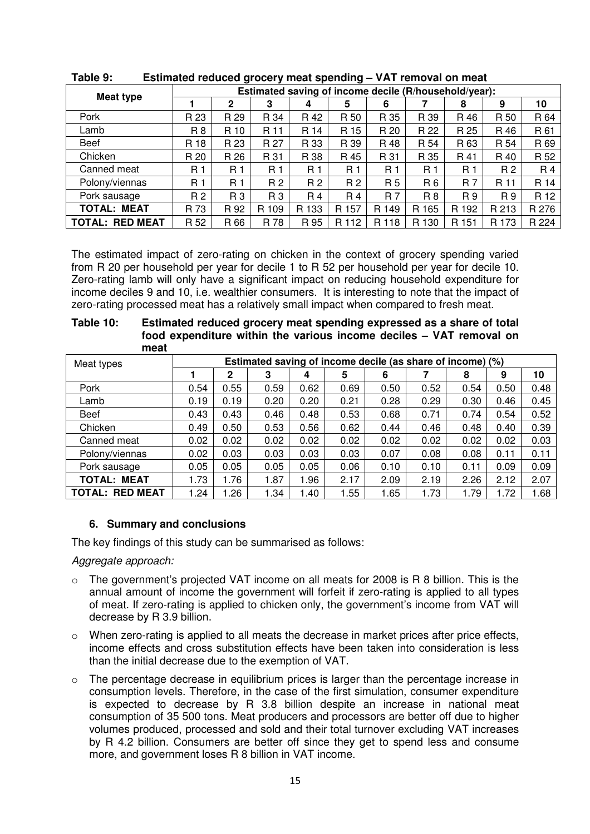| Meat type              | Estimated saving of income decile (R/household/year): |              |                |                |       |           |       |           |                |       |  |
|------------------------|-------------------------------------------------------|--------------|----------------|----------------|-------|-----------|-------|-----------|----------------|-------|--|
|                        |                                                       | $\mathbf{2}$ | 3              | 4              | 5     | 6         |       | 8         | 9              | 10    |  |
| Pork                   | R 23                                                  | R 29         | R 34           | R 42           | R 50  | R 35      | R 39  | R 46      | R 50           | R 64  |  |
| Lamb                   | R 8                                                   | R 10         | R 11           | R 14           | R 15  | R 20      | R 22  | R 25      | R 46           | R 61  |  |
| Beef                   | R 18                                                  | R 23         | R 27           | R 33           | R 39  | R 48      | R 54  | R 63      | R 54           | R 69  |  |
| Chicken                | R 20                                                  | R 26         | R 31           | R 38           | R 45  | R 31      | R 35  | R 41      | R 40           | R 52  |  |
| Canned meat            | R 1                                                   | R 1          | R <sub>1</sub> | R <sub>1</sub> | R 1   | R 1       | R 1   | R 1       | R <sub>2</sub> | R 4   |  |
| Polony/viennas         | R 1                                                   | R 1          | R 2            | R 2            | R 2   | R 5       | R 6   | <b>R7</b> | R 11           | R 14  |  |
| Pork sausage           | R 2                                                   | R 3          | R 3            | R 4            | R 4   | <b>R7</b> | R 8   | R9        | R 9            | R 12  |  |
| <b>TOTAL: MEAT</b>     | R 73                                                  | R 92         | R 109          | R 133          | R 157 | R 149     | R 165 | R 192     | R 213          | R 276 |  |
| <b>TOTAL: RED MEAT</b> | R 52                                                  | R 66         | R 78           | R 95           | R 112 | R 118     | R 130 | R 151     | R 173          | R 224 |  |

**Table 9: Estimated reduced grocery meat spending – VAT removal on meat** 

The estimated impact of zero-rating on chicken in the context of grocery spending varied from R 20 per household per year for decile 1 to R 52 per household per year for decile 10. Zero-rating lamb will only have a significant impact on reducing household expenditure for income deciles 9 and 10, i.e. wealthier consumers. It is interesting to note that the impact of zero-rating processed meat has a relatively small impact when compared to fresh meat.

| meat                   |      |                                                            |      |      |      |      |      |      |      |      |
|------------------------|------|------------------------------------------------------------|------|------|------|------|------|------|------|------|
| Meat types             |      | Estimated saving of income decile (as share of income) (%) |      |      |      |      |      |      |      |      |
|                        |      | $\mathbf 2$                                                | 3    | 4    | 5    | 6    |      | 8    | 9    | 10   |
| Pork                   | 0.54 | 0.55                                                       | 0.59 | 0.62 | 0.69 | 0.50 | 0.52 | 0.54 | 0.50 | 0.48 |
| Lamb                   | 0.19 | 0.19                                                       | 0.20 | 0.20 | 0.21 | 0.28 | 0.29 | 0.30 | 0.46 | 0.45 |
| Beef                   | 0.43 | 0.43                                                       | 0.46 | 0.48 | 0.53 | 0.68 | 0.71 | 0.74 | 0.54 | 0.52 |
| Chicken                | 0.49 | 0.50                                                       | 0.53 | 0.56 | 0.62 | 0.44 | 0.46 | 0.48 | 0.40 | 0.39 |
| Canned meat            | 0.02 | 0.02                                                       | 0.02 | 0.02 | 0.02 | 0.02 | 0.02 | 0.02 | 0.02 | 0.03 |
| Polony/viennas         | 0.02 | 0.03                                                       | 0.03 | 0.03 | 0.03 | 0.07 | 0.08 | 0.08 | 0.11 | 0.11 |
| Pork sausage           | 0.05 | 0.05                                                       | 0.05 | 0.05 | 0.06 | 0.10 | 0.10 | 0.11 | 0.09 | 0.09 |
| <b>TOTAL: MEAT</b>     | 1.73 | .76                                                        | 1.87 | 1.96 | 2.17 | 2.09 | 2.19 | 2.26 | 2.12 | 2.07 |
| <b>TOTAL: RED MEAT</b> | 1.24 | .26                                                        | 1.34 | 1.40 | 1.55 | 1.65 | 1.73 | 1.79 | 1.72 | 1.68 |

| Table 10: | Estimated reduced grocery meat spending expressed as a share of total |
|-----------|-----------------------------------------------------------------------|
|           | food expenditure within the various income deciles - VAT removal on   |
|           | maxat                                                                 |

#### **6. Summary and conclusions**

The key findings of this study can be summarised as follows:

Aggregate approach:

- o The government's projected VAT income on all meats for 2008 is R 8 billion. This is the annual amount of income the government will forfeit if zero-rating is applied to all types of meat. If zero-rating is applied to chicken only, the government's income from VAT will decrease by R 3.9 billion.
- $\circ$  When zero-rating is applied to all meats the decrease in market prices after price effects, income effects and cross substitution effects have been taken into consideration is less than the initial decrease due to the exemption of VAT.
- o The percentage decrease in equilibrium prices is larger than the percentage increase in consumption levels. Therefore, in the case of the first simulation, consumer expenditure is expected to decrease by R 3.8 billion despite an increase in national meat consumption of 35 500 tons. Meat producers and processors are better off due to higher volumes produced, processed and sold and their total turnover excluding VAT increases by R 4.2 billion. Consumers are better off since they get to spend less and consume more, and government loses R 8 billion in VAT income.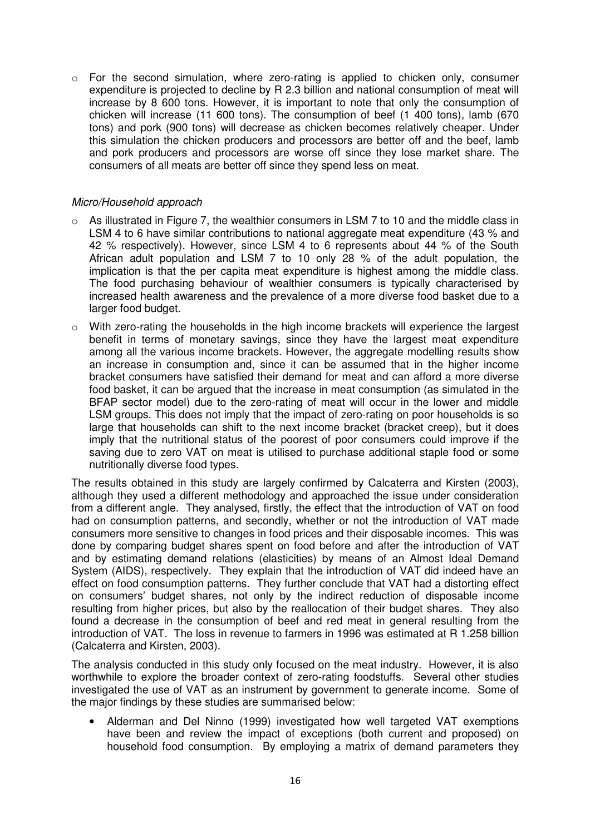$\circ$  For the second simulation, where zero-rating is applied to chicken only, consumer expenditure is projected to decline by R 2.3 billion and national consumption of meat will increase by 8 600 tons. However, it is important to note that only the consumption of chicken will increase (11 600 tons). The consumption of beef (1 400 tons), lamb (670 tons) and pork (900 tons) will decrease as chicken becomes relatively cheaper. Under this simulation the chicken producers and processors are better off and the beef, lamb and pork producers and processors are worse off since they lose market share. The consumers of all meats are better off since they spend less on meat.

#### Micro/Household approach

- $\circ$  As illustrated in Figure 7, the wealthier consumers in LSM 7 to 10 and the middle class in LSM 4 to 6 have similar contributions to national aggregate meat expenditure (43 % and 42 % respectively). However, since LSM 4 to 6 represents about 44 % of the South African adult population and LSM 7 to 10 only 28 % of the adult population, the implication is that the per capita meat expenditure is highest among the middle class. The food purchasing behaviour of wealthier consumers is typically characterised by increased health awareness and the prevalence of a more diverse food basket due to a larger food budget.
- o With zero-rating the households in the high income brackets will experience the largest benefit in terms of monetary savings, since they have the largest meat expenditure among all the various income brackets. However, the aggregate modelling results show an increase in consumption and, since it can be assumed that in the higher income bracket consumers have satisfied their demand for meat and can afford a more diverse food basket, it can be argued that the increase in meat consumption (as simulated in the BFAP sector model) due to the zero-rating of meat will occur in the lower and middle LSM groups. This does not imply that the impact of zero-rating on poor households is so large that households can shift to the next income bracket (bracket creep), but it does imply that the nutritional status of the poorest of poor consumers could improve if the saving due to zero VAT on meat is utilised to purchase additional staple food or some nutritionally diverse food types.

The results obtained in this study are largely confirmed by Calcaterra and Kirsten (2003), although they used a different methodology and approached the issue under consideration from a different angle. They analysed, firstly, the effect that the introduction of VAT on food had on consumption patterns, and secondly, whether or not the introduction of VAT made consumers more sensitive to changes in food prices and their disposable incomes. This was done by comparing budget shares spent on food before and after the introduction of VAT and by estimating demand relations (elasticities) by means of an Almost Ideal Demand System (AIDS), respectively. They explain that the introduction of VAT did indeed have an effect on food consumption patterns. They further conclude that VAT had a distorting effect on consumers' budget shares, not only by the indirect reduction of disposable income resulting from higher prices, but also by the reallocation of their budget shares. They also found a decrease in the consumption of beef and red meat in general resulting from the introduction of VAT. The loss in revenue to farmers in 1996 was estimated at R 1.258 billion (Calcaterra and Kirsten, 2003).

The analysis conducted in this study only focused on the meat industry. However, it is also worthwhile to explore the broader context of zero-rating foodstuffs. Several other studies investigated the use of VAT as an instrument by government to generate income. Some of the major findings by these studies are summarised below:

• Alderman and Del Ninno (1999) investigated how well targeted VAT exemptions have been and review the impact of exceptions (both current and proposed) on household food consumption. By employing a matrix of demand parameters they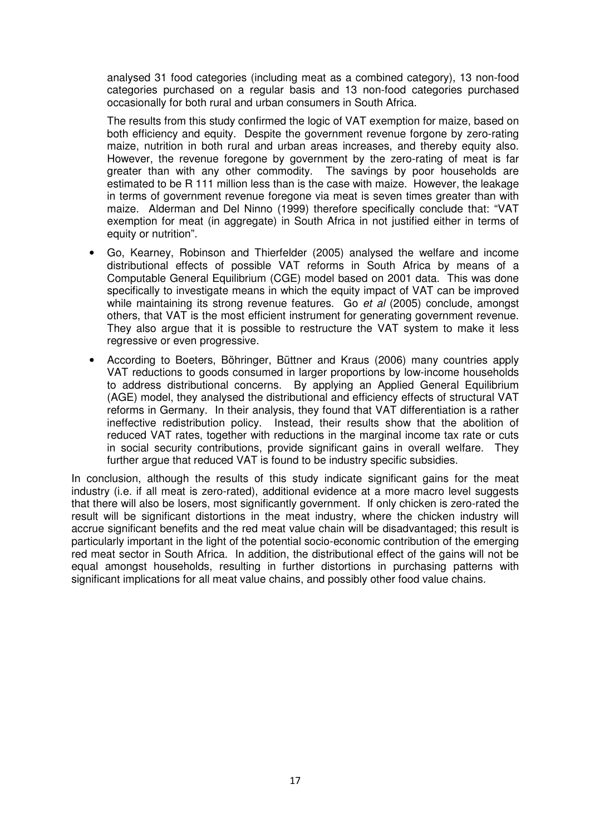analysed 31 food categories (including meat as a combined category), 13 non-food categories purchased on a regular basis and 13 non-food categories purchased occasionally for both rural and urban consumers in South Africa.

The results from this study confirmed the logic of VAT exemption for maize, based on both efficiency and equity. Despite the government revenue forgone by zero-rating maize, nutrition in both rural and urban areas increases, and thereby equity also. However, the revenue foregone by government by the zero-rating of meat is far greater than with any other commodity. The savings by poor households are estimated to be R 111 million less than is the case with maize. However, the leakage in terms of government revenue foregone via meat is seven times greater than with maize. Alderman and Del Ninno (1999) therefore specifically conclude that: "VAT exemption for meat (in aggregate) in South Africa in not justified either in terms of equity or nutrition".

- Go, Kearney, Robinson and Thierfelder (2005) analysed the welfare and income distributional effects of possible VAT reforms in South Africa by means of a Computable General Equilibrium (CGE) model based on 2001 data. This was done specifically to investigate means in which the equity impact of VAT can be improved while maintaining its strong revenue features. Go et al (2005) conclude, amongst others, that VAT is the most efficient instrument for generating government revenue. They also argue that it is possible to restructure the VAT system to make it less regressive or even progressive.
- According to Boeters, Böhringer, Büttner and Kraus (2006) many countries apply VAT reductions to goods consumed in larger proportions by low-income households to address distributional concerns. By applying an Applied General Equilibrium (AGE) model, they analysed the distributional and efficiency effects of structural VAT reforms in Germany. In their analysis, they found that VAT differentiation is a rather ineffective redistribution policy. Instead, their results show that the abolition of reduced VAT rates, together with reductions in the marginal income tax rate or cuts in social security contributions, provide significant gains in overall welfare. They further argue that reduced VAT is found to be industry specific subsidies.

In conclusion, although the results of this study indicate significant gains for the meat industry (i.e. if all meat is zero-rated), additional evidence at a more macro level suggests that there will also be losers, most significantly government. If only chicken is zero-rated the result will be significant distortions in the meat industry, where the chicken industry will accrue significant benefits and the red meat value chain will be disadvantaged; this result is particularly important in the light of the potential socio-economic contribution of the emerging red meat sector in South Africa. In addition, the distributional effect of the gains will not be equal amongst households, resulting in further distortions in purchasing patterns with significant implications for all meat value chains, and possibly other food value chains.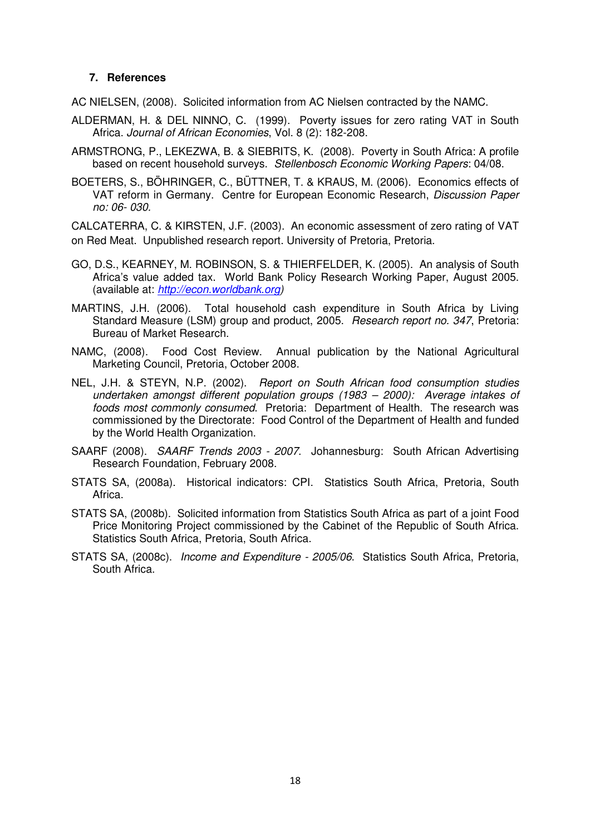#### **7. References**

AC NIELSEN, (2008). Solicited information from AC Nielsen contracted by the NAMC.

- ALDERMAN, H. & DEL NINNO, C. (1999). Poverty issues for zero rating VAT in South Africa. Journal of African Economies, Vol. 8 (2): 182-208.
- ARMSTRONG, P., LEKEZWA, B. & SIEBRITS, K. (2008). Poverty in South Africa: A profile based on recent household surveys. Stellenbosch Economic Working Papers: 04/08.
- BOETERS, S., BÖHRINGER, C., BÜTTNER, T. & KRAUS, M. (2006). Economics effects of VAT reform in Germany. Centre for European Economic Research, Discussion Paper no: 06- 030.

CALCATERRA, C. & KIRSTEN, J.F. (2003). An economic assessment of zero rating of VAT on Red Meat. Unpublished research report. University of Pretoria, Pretoria.

- GO, D.S., KEARNEY, M. ROBINSON, S. & THIERFELDER, K. (2005). An analysis of South Africa's value added tax. World Bank Policy Research Working Paper, August 2005. (available at: http://econ.worldbank.org)
- MARTINS, J.H. (2006). Total household cash expenditure in South Africa by Living Standard Measure (LSM) group and product, 2005. Research report no. 347, Pretoria: Bureau of Market Research.
- NAMC, (2008). Food Cost Review. Annual publication by the National Agricultural Marketing Council, Pretoria, October 2008.
- NEL, J.H. & STEYN, N.P. (2002). Report on South African food consumption studies undertaken amongst different population groups (1983 – 2000): Average intakes of foods most commonly consumed. Pretoria: Department of Health. The research was commissioned by the Directorate: Food Control of the Department of Health and funded by the World Health Organization.
- SAARF (2008). SAARF Trends 2003 2007. Johannesburg: South African Advertising Research Foundation, February 2008.
- STATS SA, (2008a). Historical indicators: CPI. Statistics South Africa, Pretoria, South Africa.
- STATS SA, (2008b). Solicited information from Statistics South Africa as part of a joint Food Price Monitoring Project commissioned by the Cabinet of the Republic of South Africa. Statistics South Africa, Pretoria, South Africa.
- STATS SA, (2008c). Income and Expenditure 2005/06. Statistics South Africa, Pretoria, South Africa.